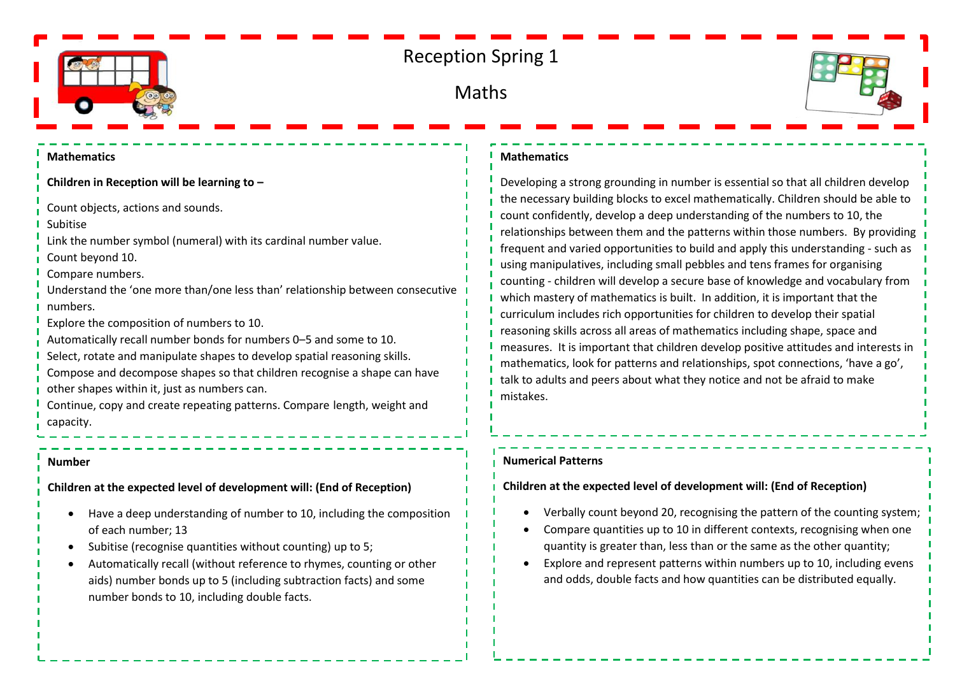

# Reception Spring 1

## Maths



#### **Mathematics**

**Children in Reception will be learning to –**

Count objects, actions and sounds.

Subitise

Link the number symbol (numeral) with its cardinal number value.

Count beyond 10.

Compare numbers.

- Understand the 'one more than/one less than' relationship between consecutive numbers.
- Explore the composition of numbers to 10.
- Automatically recall number bonds for numbers 0–5 and some to 10.
- Select, rotate and manipulate shapes to develop spatial reasoning skills.
- Compose and decompose shapes so that children recognise a shape can have other shapes within it, just as numbers can.

Continue, copy and create repeating patterns. Compare length, weight and capacity.

#### **Number**

**Children at the expected level of development will: (End of Reception)**

- Have a deep understanding of number to 10, including the composition of each number; 13
- Subitise (recognise quantities without counting) up to 5;
- Automatically recall (without reference to rhymes, counting or other aids) number bonds up to 5 (including subtraction facts) and some number bonds to 10, including double facts.

#### **Mathematics**

Developing a strong grounding in number is essential so that all children develop the necessary building blocks to excel mathematically. Children should be able to count confidently, develop a deep understanding of the numbers to 10, the relationships between them and the patterns within those numbers. By providing frequent and varied opportunities to build and apply this understanding - such as using manipulatives, including small pebbles and tens frames for organising counting - children will develop a secure base of knowledge and vocabulary from which mastery of mathematics is built. In addition, it is important that the curriculum includes rich opportunities for children to develop their spatial reasoning skills across all areas of mathematics including shape, space and measures. It is important that children develop positive attitudes and interests in mathematics, look for patterns and relationships, spot connections, 'have a go', talk to adults and peers about what they notice and not be afraid to make mistakes.

#### **Numerical Patterns**

### **Children at the expected level of development will: (End of Reception)**

- Verbally count beyond 20, recognising the pattern of the counting system;
- Compare quantities up to 10 in different contexts, recognising when one quantity is greater than, less than or the same as the other quantity;
- Explore and represent patterns within numbers up to 10, including evens and odds, double facts and how quantities can be distributed equally.